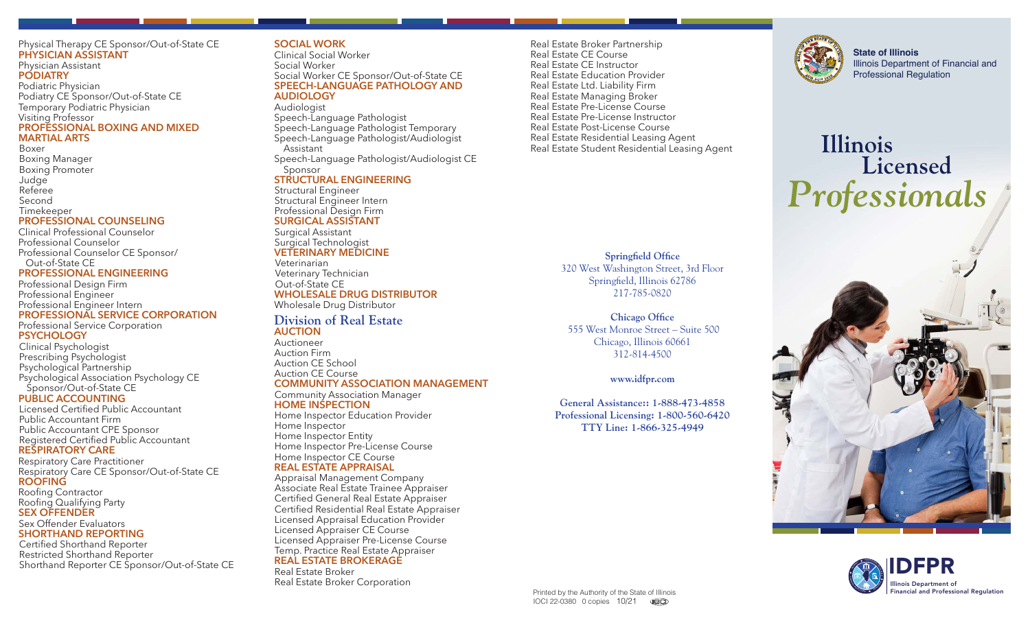#### Physical Therapy CE Sponsor/Out-of-State CE **PHYSICIAN ASSISTANT**

Physician Assistant **PODIATRY** Podiatric Physician Podiatry CE Sponsor/Out-of-State CE Temporary Podiatric Physician Visiting Professor **PROFESSIONAL BOXING AND MIXED MARTIAL ARTS**

#### Boxer Boxing Manager Boxing Promoter **Judge** Referee Second Timekeeper

### **PROFESSIONAL COUNSELING**

Clinical Professional Counselor Professional Counselor Professional Counselor CE Sponsor/ Out-of-State CE

### **PROFESSIONAL ENGINEERING**

Professional Design Firm Professional Engineer Professional Engineer Intern **PROFESSIONAL SERVICE CORPORATION**

#### Professional Service Corporation **PSYCHOLOGY**

Clinical Psychologist Prescribing Psychologist Psychological Partnership Psychological Association Psychology CE Sponsor/Out-of-State CE

### **PUBLIC ACCOUNTING**

Licensed Certified Public Accountant Public Accountant Firm Public Accountant CPE Sponsor Registered Certified Public Accountant

# **RESPIRATORY CARE**

Respiratory Care Practitioner Respiratory Care CE Sponsor/Out-of-State CE **ROOFING**

Roofing Contractor Roofing Qualifying Party **SEX OFFENDER**

Sex Offender Evaluators **SHORTHAND REPORTING**

Certified Shorthand Reporter Restricted Shorthand Reporter Shorthand Reporter CE Sponsor/Out-of-State CE

# **SOCIAL WORK**

Clinical Social Worker Social Worker Social Worker CE Sponsor/Out-of-State CE **SPEECH-LANGUAGE PATHOLOGY AND AUDIOLOGY**

Audiologist Speech-Language Pathologist Speech-Language Pathologist Temporary Speech-Language Pathologist/Audiologist Assistant Speech-Language Pathologist/Audiologist CE Sponsor

# **STRUCTURAL ENGINEERING**

Structural Engineer Structural Engineer Intern Professional Design Firm **SURGICAL ASSISTANT**

Surgical Assistant Surgical Technologist **VETERINARY MEDICINE**

Veterinarian Veterinary Technician Out-of-State CE **WHOLESALE DRUG DISTRIBUTOR** Wholesale Drug Distributor

#### **Division of Real Estate AUCTION**

Auctioneer Auction Firm Auction CE School Auction CE Course **COMMUNITY ASSOCIATION MANAGEMENT**

#### Community Association Manager **HOME INSPECTION**

Home Inspector Education Provider Home Inspector Home Inspector Entity Home Inspector Pre-License Course Home Inspector CE Course **REAL ESTATE APPRAISAL**

Appraisal Management Company Associate Real Estate Trainee Appraiser Certified General Real Estate Appraiser Certified Residential Real Estate Appraiser Licensed Appraisal Education Provider Licensed Appraiser CE Course Licensed Appraiser Pre-License Course Temp. Practice Real Estate Appraiser **REAL ESTATE BROKERAGE** Real Estate Broker

Real Estate Broker Corporation

Real Estate Broker Partnership Real Estate CE Course Real Estate CE Instructor Real Estate Education Provider Real Estate Ltd. Liability Firm Real Estate Managing Broker Real Estate Pre-License Course Real Estate Pre-License Instructor Real Estate Post-License Course Real Estate Residential Leasing Agent Real Estate Student Residential Leasing Agent

> **Springfield Office**  320 West Washington Street, 3rd Floor Springfield, Illinois 62786 217-785-0820

**Chicago Office**  555 West Monroe Street – Suite 500 Chicago, Illinois 60661 312-814-4500

**www.idfpr.com** 

**General Assistance:: 1-888-473-4858 Professional Licensing: 1-800-560-6420 TTY Line: 1-866-325-4949** 



**State of Illinois** Illinois Department of Financial and Professional Regulation

# **Illinois Licensed**  *Professionals*





Printed by the Authority of the State of Illinois IOCI 22-0380 0 copies 10/21